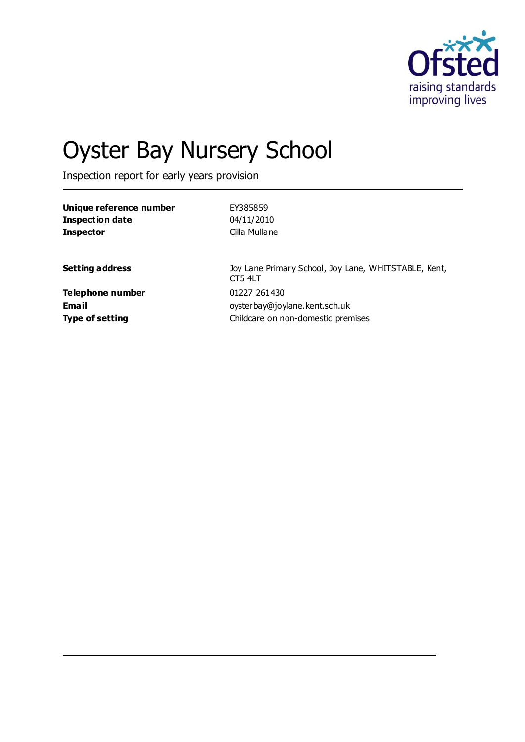

# Oyster Bay Nursery School

Inspection report for early years provision

| Unique reference number | EY385859                                                        |
|-------------------------|-----------------------------------------------------------------|
| <b>Inspection date</b>  | 04/11/2010                                                      |
| <b>Inspector</b>        | Cilla Mullane                                                   |
| <b>Setting address</b>  | Joy Lane Primary School, Joy Lane, WHITSTABLE, Kent,<br>CT5 4LT |
| Telephone number        | 01227 261430                                                    |
| Email                   | oysterbay@joylane.kent.sch.uk                                   |
| <b>Type of setting</b>  | Childcare on non-domestic premises                              |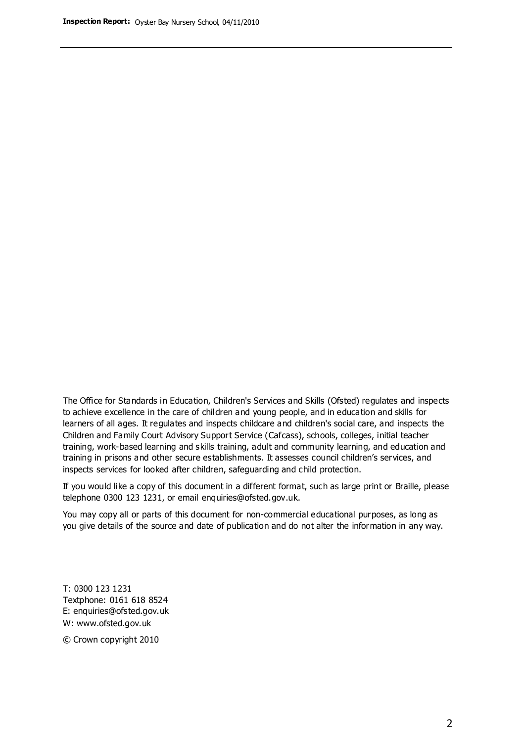The Office for Standards in Education, Children's Services and Skills (Ofsted) regulates and inspects to achieve excellence in the care of children and young people, and in education and skills for learners of all ages. It regulates and inspects childcare and children's social care, and inspects the Children and Family Court Advisory Support Service (Cafcass), schools, colleges, initial teacher training, work-based learning and skills training, adult and community learning, and education and training in prisons and other secure establishments. It assesses council children's services, and inspects services for looked after children, safeguarding and child protection.

If you would like a copy of this document in a different format, such as large print or Braille, please telephone 0300 123 1231, or email enquiries@ofsted.gov.uk.

You may copy all or parts of this document for non-commercial educational purposes, as long as you give details of the source and date of publication and do not alter the information in any way.

T: 0300 123 1231 Textphone: 0161 618 8524 E: enquiries@ofsted.gov.uk W: [www.ofsted.gov.uk](http://www.ofsted.gov.uk/)

© Crown copyright 2010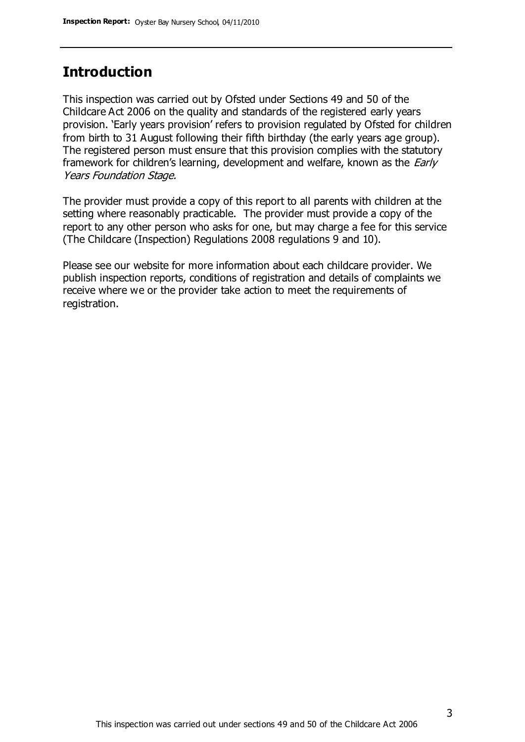## **Introduction**

This inspection was carried out by Ofsted under Sections 49 and 50 of the Childcare Act 2006 on the quality and standards of the registered early years provision. 'Early years provision' refers to provision regulated by Ofsted for children from birth to 31 August following their fifth birthday (the early years age group). The registered person must ensure that this provision complies with the statutory framework for children's learning, development and welfare, known as the *Early* Years Foundation Stage.

The provider must provide a copy of this report to all parents with children at the setting where reasonably practicable. The provider must provide a copy of the report to any other person who asks for one, but may charge a fee for this service (The Childcare (Inspection) Regulations 2008 regulations 9 and 10).

Please see our website for more information about each childcare provider. We publish inspection reports, conditions of registration and details of complaints we receive where we or the provider take action to meet the requirements of registration.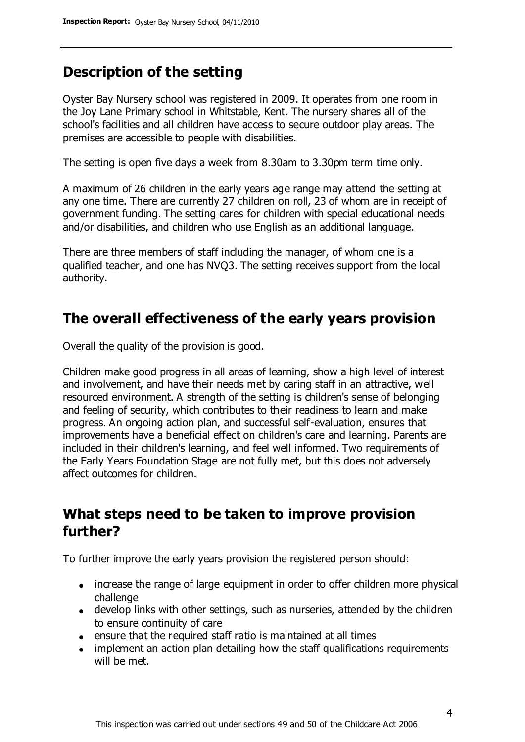## **Description of the setting**

Oyster Bay Nursery school was registered in 2009. It operates from one room in the Joy Lane Primary school in Whitstable, Kent. The nursery shares all of the school's facilities and all children have access to secure outdoor play areas. The premises are accessible to people with disabilities.

The setting is open five days a week from 8.30am to 3.30pm term time only.

A maximum of 26 children in the early years age range may attend the setting at any one time. There are currently 27 children on roll, 23 of whom are in receipt of government funding. The setting cares for children with special educational needs and/or disabilities, and children who use English as an additional language.

There are three members of staff including the manager, of whom one is a qualified teacher, and one has NVQ3. The setting receives support from the local authority.

### **The overall effectiveness of the early years provision**

Overall the quality of the provision is good.

Children make good progress in all areas of learning, show a high level of interest and involvement, and have their needs met by caring staff in an attractive, well resourced environment. A strength of the setting is children's sense of belonging and feeling of security, which contributes to their readiness to learn and make progress. An ongoing action plan, and successful self-evaluation, ensures that improvements have a beneficial effect on children's care and learning. Parents are included in their children's learning, and feel well informed. Two requirements of the Early Years Foundation Stage are not fully met, but this does not adversely affect outcomes for children.

### **What steps need to be taken to improve provision further?**

To further improve the early years provision the registered person should:

- increase the range of large equipment in order to offer children more physical challenge
- develop links with other settings, such as nurseries, attended by the children to ensure continuity of care
- ensure that the required staff ratio is maintained at all times
- implement an action plan detailing how the staff qualifications requirements will be met.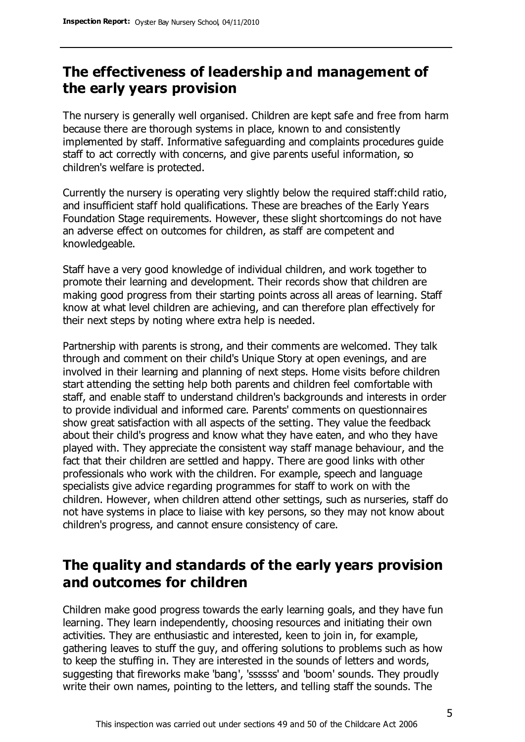## **The effectiveness of leadership and management of the early years provision**

The nursery is generally well organised. Children are kept safe and free from harm because there are thorough systems in place, known to and consistently implemented by staff. Informative safeguarding and complaints procedures guide staff to act correctly with concerns, and give parents useful information, so children's welfare is protected.

Currently the nursery is operating very slightly below the required staff:child ratio, and insufficient staff hold qualifications. These are breaches of the Early Years Foundation Stage requirements. However, these slight shortcomings do not have an adverse effect on outcomes for children, as staff are competent and knowledgeable.

Staff have a very good knowledge of individual children, and work together to promote their learning and development. Their records show that children are making good progress from their starting points across all areas of learning. Staff know at what level children are achieving, and can therefore plan effectively for their next steps by noting where extra help is needed.

Partnership with parents is strong, and their comments are welcomed. They talk through and comment on their child's Unique Story at open evenings, and are involved in their learning and planning of next steps. Home visits before children start attending the setting help both parents and children feel comfortable with staff, and enable staff to understand children's backgrounds and interests in order to provide individual and informed care. Parents' comments on questionnaires show great satisfaction with all aspects of the setting. They value the feedback about their child's progress and know what they have eaten, and who they have played with. They appreciate the consistent way staff manage behaviour, and the fact that their children are settled and happy. There are good links with other professionals who work with the children. For example, speech and language specialists give advice regarding programmes for staff to work on with the children. However, when children attend other settings, such as nurseries, staff do not have systems in place to liaise with key persons, so they may not know about children's progress, and cannot ensure consistency of care.

## **The quality and standards of the early years provision and outcomes for children**

Children make good progress towards the early learning goals, and they have fun learning. They learn independently, choosing resources and initiating their own activities. They are enthusiastic and interested, keen to join in, for example, gathering leaves to stuff the guy, and offering solutions to problems such as how to keep the stuffing in. They are interested in the sounds of letters and words, suggesting that fireworks make 'bang', 'ssssss' and 'boom' sounds. They proudly write their own names, pointing to the letters, and telling staff the sounds. The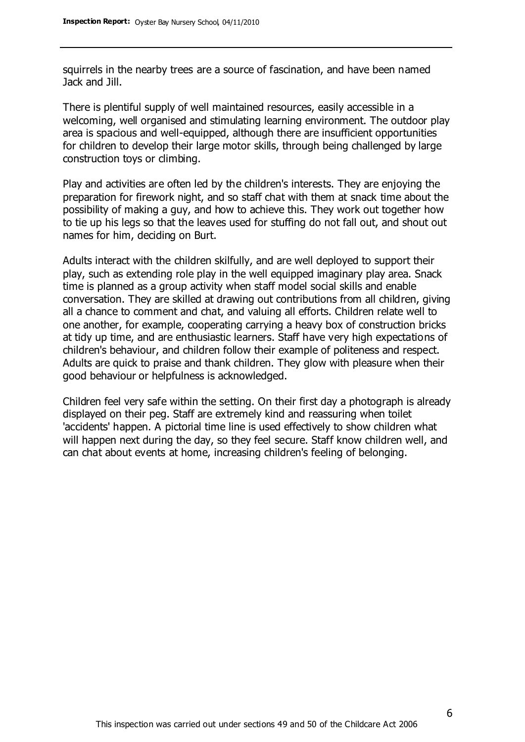squirrels in the nearby trees are a source of fascination, and have been named Jack and Jill.

There is plentiful supply of well maintained resources, easily accessible in a welcoming, well organised and stimulating learning environment. The outdoor play area is spacious and well-equipped, although there are insufficient opportunities for children to develop their large motor skills, through being challenged by large construction toys or climbing.

Play and activities are often led by the children's interests. They are enjoying the preparation for firework night, and so staff chat with them at snack time about the possibility of making a guy, and how to achieve this. They work out together how to tie up his legs so that the leaves used for stuffing do not fall out, and shout out names for him, deciding on Burt.

Adults interact with the children skilfully, and are well deployed to support their play, such as extending role play in the well equipped imaginary play area. Snack time is planned as a group activity when staff model social skills and enable conversation. They are skilled at drawing out contributions from all children, giving all a chance to comment and chat, and valuing all efforts. Children relate well to one another, for example, cooperating carrying a heavy box of construction bricks at tidy up time, and are enthusiastic learners. Staff have very high expectations of children's behaviour, and children follow their example of politeness and respect. Adults are quick to praise and thank children. They glow with pleasure when their good behaviour or helpfulness is acknowledged.

Children feel very safe within the setting. On their first day a photograph is already displayed on their peg. Staff are extremely kind and reassuring when toilet 'accidents' happen. A pictorial time line is used effectively to show children what will happen next during the day, so they feel secure. Staff know children well, and can chat about events at home, increasing children's feeling of belonging.